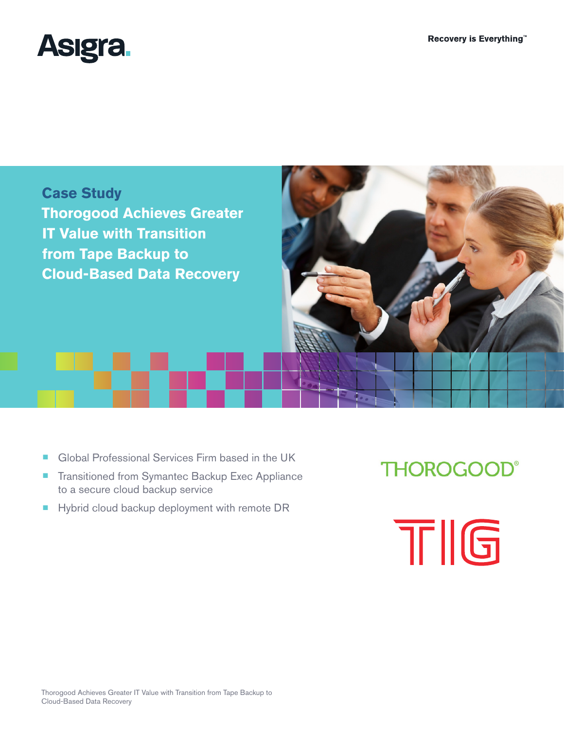





- Global Professional Services Firm based in the UK
- Transitioned from Symantec Backup Exec Appliance to a secure cloud backup service
- Hybrid cloud backup deployment with remote DR

**THOROGOOD®** 

TIG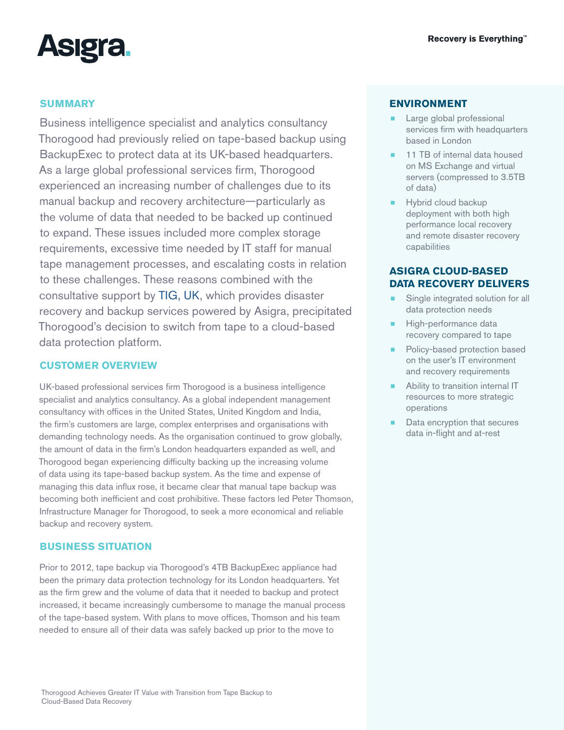

## **SUMMARY**

Business intelligence specialist and analytics consultancy Thorogood had previously relied on tape-based backup using BackupExec to protect data at its UK-based headquarters. As a large global professional services firm, Thorogood experienced an increasing number of challenges due to its manual backup and recovery architecture—particularly as the volume of data that needed to be backed up continued to expand. These issues included more complex storage requirements, excessive time needed by IT staff for manual tape management processes, and escalating costs in relation to these challenges. These reasons combined with the consultative support by TIG, UK, which provides disaster recovery and backup services powered by Asigra, precipitated Thorogood's decision to switch from tape to a cloud-based data protection platform.

# **CUSTOMER OVERVIEW**

UK-based professional services firm Thorogood is a business intelligence specialist and analytics consultancy. As a global independent management consultancy with offices in the United States, United Kingdom and India, the firm's customers are large, complex enterprises and organisations with demanding technology needs. As the organisation continued to grow globally, the amount of data in the firm's London headquarters expanded as well, and Thorogood began experiencing difficulty backing up the increasing volume of data using its tape-based backup system. As the time and expense of managing this data influx rose, it became clear that manual tape backup was becoming both inefficient and cost prohibitive. These factors led Peter Thomson, Infrastructure Manager for Thorogood, to seek a more economical and reliable backup and recovery system.

## **BUSINESS SITUATION**

Prior to 2012, tape backup via Thorogood's 4TB BackupExec appliance had been the primary data protection technology for its London headquarters. Yet as the firm grew and the volume of data that it needed to backup and protect increased, it became increasingly cumbersome to manage the manual process of the tape-based system. With plans to move offices, Thomson and his team needed to ensure all of their data was safely backed up prior to the move to

## **ENVIRONMENT**

- Large global professional services firm with headquarters based in London
- 11 TB of internal data housed on MS Exchange and virtual servers (compressed to 3.5TB of data)
- Hybrid cloud backup deployment with both high performance local recovery and remote disaster recovery capabilities

## **ASIGRA CLOUD-BASED DATA RECOVERY DELIVERS**

- Single integrated solution for all data protection needs
- High-performance data recovery compared to tape
- Policy-based protection based on the user's IT environment and recovery requirements
- **Ability to transition internal IT** resources to more strategic operations
- Data encryption that secures data in-flight and at-rest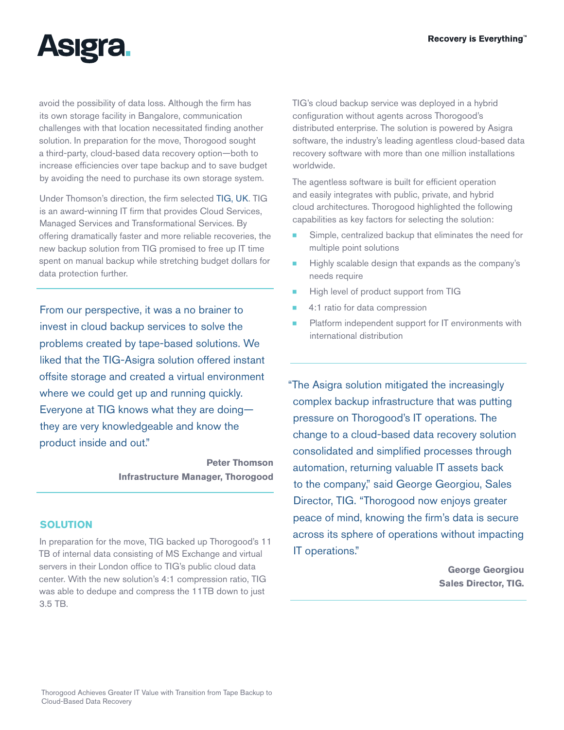

avoid the possibility of data loss. Although the firm has its own storage facility in Bangalore, communication challenges with that location necessitated finding another solution. In preparation for the move, Thorogood sought a third-party, cloud-based data recovery option—both to increase efficiencies over tape backup and to save budget by avoiding the need to purchase its own storage system.

Under Thomson's direction, the firm selected TIG, UK. TIG is an award-winning IT firm that provides Cloud Services, Managed Services and Transformational Services. By offering dramatically faster and more reliable recoveries, the new backup solution from TIG promised to free up IT time spent on manual backup while stretching budget dollars for data protection further.

From our perspective, it was a no brainer to invest in cloud backup services to solve the problems created by tape-based solutions. We liked that the TIG-Asigra solution offered instant offsite storage and created a virtual environment where we could get up and running quickly. Everyone at TIG knows what they are doing they are very knowledgeable and know the product inside and out."

> **Peter Thomson Infrastructure Manager, Thorogood**

### **SOLUTION**

In preparation for the move, TIG backed up Thorogood's 11 TB of internal data consisting of MS Exchange and virtual servers in their London office to TIG's public cloud data center. With the new solution's 4:1 compression ratio, TIG was able to dedupe and compress the 11TB down to just 3.5 TB.

TIG's cloud backup service was deployed in a hybrid configuration without agents across Thorogood's distributed enterprise. The solution is powered by Asigra software, the industry's leading agentless cloud-based data recovery software with more than one million installations worldwide.

The agentless software is built for efficient operation and easily integrates with public, private, and hybrid cloud architectures. Thorogood highlighted the following capabilities as key factors for selecting the solution:

- Simple, centralized backup that eliminates the need for multiple point solutions
- Highly scalable design that expands as the company's needs require
- High level of product support from TIG
- ¾ 4:1 ratio for data compression
- Platform independent support for IT environments with international distribution

"The Asigra solution mitigated the increasingly complex backup infrastructure that was putting pressure on Thorogood's IT operations. The change to a cloud-based data recovery solution consolidated and simplified processes through automation, returning valuable IT assets back to the company," said George Georgiou, Sales Director, TIG. "Thorogood now enjoys greater peace of mind, knowing the firm's data is secure across its sphere of operations without impacting IT operations."

> **George Georgiou Sales Director, TIG.**